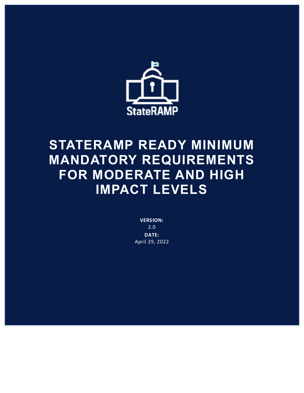

## **STATERAMP READY MINIMUM MANDATORY REQUIREMENTS FOR MODERATE AND HIGH IMPACT LEVELS**

**VERSION:** 2.0 **DATE:** April 29, 2022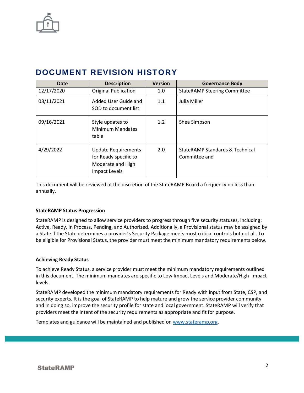

## **DOCUMENT REVISION HISTORY**

| Date       | <b>Description</b>                                                                        | <b>Version</b> | <b>Governance Body</b>                                      |
|------------|-------------------------------------------------------------------------------------------|----------------|-------------------------------------------------------------|
| 12/17/2020 | <b>Original Publication</b>                                                               | 1.0            | <b>StateRAMP Steering Committee</b>                         |
| 08/11/2021 | Added User Guide and<br>SOD to document list.                                             | 1.1            | Julia Miller                                                |
| 09/16/2021 | Style updates to<br>Minimum Mandates<br>table                                             | 1.2            | Shea Simpson                                                |
| 4/29/2022  | <b>Update Requirements</b><br>for Ready specific to<br>Moderate and High<br>Impact Levels | 2.0            | <b>StateRAMP Standards &amp; Technical</b><br>Committee and |

This document will be reviewed at the discretion of the StateRAMP Board a frequency no less than annually.

## **StateRAMP Status Progression**

StateRAMP is designed to allow service providers to progress through five security statuses, including: Active, Ready, In Process, Pending, and Authorized. Additionally, a Provisional status may be assigned by a State if the State determines a provider's Security Package meets most critical controls but not all. To be eligible for Provisional Status, the provider must meet the minimum mandatory requirements below.

## **Achieving Ready Status**

To achieve Ready Status, a service provider must meet the minimum mandatory requirements outlined in this document. The minimum mandates are specific to Low Impact Levels and Moderate/High impact levels.

StateRAMP developed the minimum mandatory requirements for Ready with input from State, CSP, and security experts. It is the goal of StateRAMP to help mature and grow the service provider community and in doing so, improve the security profile for state and local government. StateRAMP will verify that providers meet the intent of the security requirements as appropriate and fit for purpose.

Templates and guidance will be maintained and published on [www.stateramp.org.](http://www.stateramp.org/)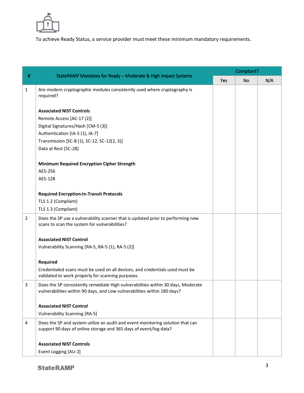

To achieve Ready Status, a service provider must meet these minimum mandatory requirements.

|                |                                                                                                                                                              | Compliant? |    |     |  |
|----------------|--------------------------------------------------------------------------------------------------------------------------------------------------------------|------------|----|-----|--|
| $\#$           | StateRAMP Mandates for Ready - Moderate & High Impact Systems                                                                                                | Yes        | No | N/A |  |
| $\mathbf{1}$   | Are modern cryptographic modules consistently used where cryptography is<br>required?                                                                        |            |    |     |  |
|                | <b>Associated NIST Controls</b>                                                                                                                              |            |    |     |  |
|                | Remote Access [AC-17 (2)]                                                                                                                                    |            |    |     |  |
|                | Digital Signatures/Hash [CM-5 (3)]                                                                                                                           |            |    |     |  |
|                | Authentication [IA-5 (1), IA-7]                                                                                                                              |            |    |     |  |
|                | Transmission [SC-8 (1), SC-12, SC-12(2, 3)]                                                                                                                  |            |    |     |  |
|                | Data at Rest [SC-28]                                                                                                                                         |            |    |     |  |
|                | <b>Minimum Required Encryption Cipher Strength</b>                                                                                                           |            |    |     |  |
|                | AES-256                                                                                                                                                      |            |    |     |  |
|                | AES-128                                                                                                                                                      |            |    |     |  |
|                | <b>Required Encryption-In-Transit Protocols</b>                                                                                                              |            |    |     |  |
|                | TLS 1.2 (Compliant)                                                                                                                                          |            |    |     |  |
|                | TLS 1.3 (Compliant)                                                                                                                                          |            |    |     |  |
| $\overline{2}$ | Does the SP use a vulnerability scanner that is updated prior to performing new<br>scans to scan the system for vulnerabilities?                             |            |    |     |  |
|                | <b>Associated NIST Control</b>                                                                                                                               |            |    |     |  |
|                | Vulnerability Scanning [RA-5, RA-5 (1), RA-5 (2)]                                                                                                            |            |    |     |  |
|                | <b>Required</b>                                                                                                                                              |            |    |     |  |
|                | Credentialed scans must be used on all devices, and credentials used must be<br>validated to work properly for scanning purposes.                            |            |    |     |  |
| 3              | Does the SP consistently remediate High vulnerabilities within 30 days, Moderate<br>vulnerabilities within 90 days, and Low vulnerabilities within 180 days? |            |    |     |  |
|                | <b>Associated NIST Control</b>                                                                                                                               |            |    |     |  |
|                | <b>Vulnerability Scanning [RA-5]</b>                                                                                                                         |            |    |     |  |
| 4              | Does the SP and system utilize an audit and event monitoring solution that can<br>support 90 days of online storage and 365 days of event/log data?          |            |    |     |  |
|                | <b>Associated NIST Controls</b>                                                                                                                              |            |    |     |  |
|                | Event Logging [AU-2]                                                                                                                                         |            |    |     |  |
|                |                                                                                                                                                              |            |    |     |  |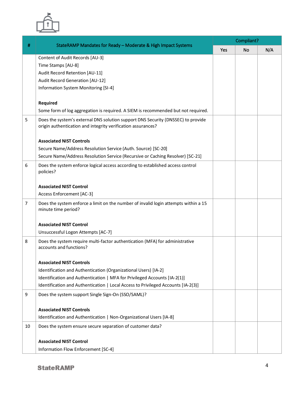

|                |                                                                                                                                                  | Compliant? |           |     |  |
|----------------|--------------------------------------------------------------------------------------------------------------------------------------------------|------------|-----------|-----|--|
| #              | StateRAMP Mandates for Ready - Moderate & High Impact Systems                                                                                    | Yes        | <b>No</b> | N/A |  |
|                | Content of Audit Records [AU-3]                                                                                                                  |            |           |     |  |
|                | Time Stamps [AU-8]                                                                                                                               |            |           |     |  |
|                | Audit Record Retention [AU-11]                                                                                                                   |            |           |     |  |
|                | Audit Record Generation [AU-12]                                                                                                                  |            |           |     |  |
|                | Information System Monitoring [SI-4]                                                                                                             |            |           |     |  |
|                |                                                                                                                                                  |            |           |     |  |
|                | <b>Required</b>                                                                                                                                  |            |           |     |  |
|                | Some form of log aggregation is required. A SIEM is recommended but not required.                                                                |            |           |     |  |
| 5              | Does the system's external DNS solution support DNS Security (DNSSEC) to provide<br>origin authentication and integrity verification assurances? |            |           |     |  |
|                | <b>Associated NIST Controls</b>                                                                                                                  |            |           |     |  |
|                | Secure Name/Address Resolution Service (Auth. Source) [SC-20]                                                                                    |            |           |     |  |
|                | Secure Name/Address Resolution Service (Recursive or Caching Resolver) [SC-21]                                                                   |            |           |     |  |
| 6              | Does the system enforce logical access according to established access control<br>policies?                                                      |            |           |     |  |
|                | <b>Associated NIST Control</b>                                                                                                                   |            |           |     |  |
|                | Access Enforcement [AC-3]                                                                                                                        |            |           |     |  |
|                |                                                                                                                                                  |            |           |     |  |
| $\overline{7}$ | Does the system enforce a limit on the number of invalid login attempts within a 15<br>minute time period?                                       |            |           |     |  |
|                | <b>Associated NIST Control</b>                                                                                                                   |            |           |     |  |
|                | Unsuccessful Logon Attempts [AC-7]                                                                                                               |            |           |     |  |
| 8              | Does the system require multi-factor authentication (MFA) for administrative<br>accounts and functions?                                          |            |           |     |  |
|                |                                                                                                                                                  |            |           |     |  |
|                | <b>Associated NIST Controls</b>                                                                                                                  |            |           |     |  |
|                | Identification and Authentication (Organizational Users) [IA-2]                                                                                  |            |           |     |  |
|                | Identification and Authentication   MFA for Privileged Accounts [IA-2(1)]                                                                        |            |           |     |  |
|                | Identification and Authentication   Local Access to Privileged Accounts [IA-2(3)]                                                                |            |           |     |  |
| 9              | Does the system support Single Sign-On (SSO/SAML)?                                                                                               |            |           |     |  |
|                | <b>Associated NIST Controls</b>                                                                                                                  |            |           |     |  |
|                | Identification and Authentication   Non-Organizational Users [IA-8]                                                                              |            |           |     |  |
| 10             | Does the system ensure secure separation of customer data?                                                                                       |            |           |     |  |
|                |                                                                                                                                                  |            |           |     |  |
|                | <b>Associated NIST Control</b>                                                                                                                   |            |           |     |  |
|                | Information Flow Enforcement [SC-4]                                                                                                              |            |           |     |  |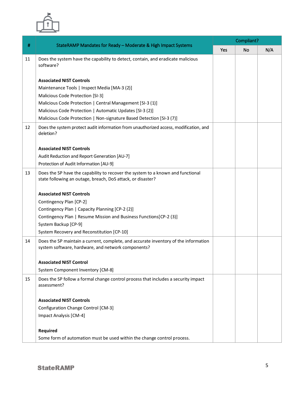

| #  | StateRAMP Mandates for Ready - Moderate & High Impact Systems                                                                                  | Compliant? |           |     |  |
|----|------------------------------------------------------------------------------------------------------------------------------------------------|------------|-----------|-----|--|
|    |                                                                                                                                                | Yes        | <b>No</b> | N/A |  |
| 11 | Does the system have the capability to detect, contain, and eradicate malicious<br>software?                                                   |            |           |     |  |
|    | <b>Associated NIST Controls</b>                                                                                                                |            |           |     |  |
|    | Maintenance Tools   Inspect Media [MA-3 (2)]                                                                                                   |            |           |     |  |
|    | Malicious Code Protection [SI-3]                                                                                                               |            |           |     |  |
|    | Malicious Code Protection   Central Management [SI-3 (1)]                                                                                      |            |           |     |  |
|    | Malicious Code Protection   Automatic Updates [SI-3 (2)]                                                                                       |            |           |     |  |
|    | Malicious Code Protection   Non-signature Based Detection [SI-3 (7)]                                                                           |            |           |     |  |
| 12 | Does the system protect audit information from unauthorized access, modification, and<br>deletion?                                             |            |           |     |  |
|    | <b>Associated NIST Controls</b>                                                                                                                |            |           |     |  |
|    | Audit Reduction and Report Generation [AU-7]                                                                                                   |            |           |     |  |
|    | Protection of Audit Information [AU-9]                                                                                                         |            |           |     |  |
| 13 | Does the SP have the capability to recover the system to a known and functional<br>state following an outage, breach, DoS attack, or disaster? |            |           |     |  |
|    | <b>Associated NIST Controls</b>                                                                                                                |            |           |     |  |
|    | Contingency Plan [CP-2]                                                                                                                        |            |           |     |  |
|    | Contingency Plan   Capacity Planning [CP-2 (2)]                                                                                                |            |           |     |  |
|    | Contingency Plan   Resume Mission and Business Functions [CP-2 (3)]                                                                            |            |           |     |  |
|    | System Backup [CP-9]                                                                                                                           |            |           |     |  |
|    | System Recovery and Reconstitution [CP-10]                                                                                                     |            |           |     |  |
| 14 | Does the SP maintain a current, complete, and accurate inventory of the information<br>system software, hardware, and network components?      |            |           |     |  |
|    | <b>Associated NIST Control</b>                                                                                                                 |            |           |     |  |
|    | System Component Inventory [CM-8]                                                                                                              |            |           |     |  |
| 15 | Does the SP follow a formal change control process that includes a security impact<br>assessment?                                              |            |           |     |  |
|    |                                                                                                                                                |            |           |     |  |
|    | <b>Associated NIST Controls</b>                                                                                                                |            |           |     |  |
|    | Configuration Change Control [CM-3]                                                                                                            |            |           |     |  |
|    | Impact Analysis [CM-4]                                                                                                                         |            |           |     |  |
|    | <b>Required</b>                                                                                                                                |            |           |     |  |
|    | Some form of automation must be used within the change control process.                                                                        |            |           |     |  |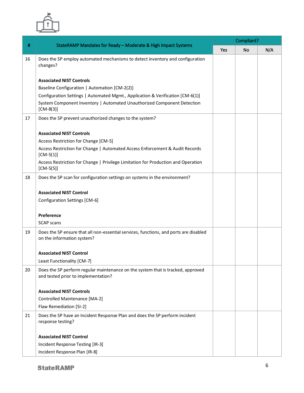

|    | StateRAMP Mandates for Ready - Moderate & High Impact Systems                                                       | Compliant? |           |     |  |
|----|---------------------------------------------------------------------------------------------------------------------|------------|-----------|-----|--|
| #  |                                                                                                                     | Yes        | <b>No</b> | N/A |  |
| 16 | Does the SP employ automated mechanisms to detect inventory and configuration<br>changes?                           |            |           |     |  |
|    | <b>Associated NIST Controls</b>                                                                                     |            |           |     |  |
|    | Baseline Configuration   Automation [CM-2(2)]                                                                       |            |           |     |  |
|    | Configuration Settings   Automated Mgmt., Application & Verification [CM-6(1)]                                      |            |           |     |  |
|    | System Component Inventory   Automated Unauthorized Component Detection<br>$[CM-8(3)]$                              |            |           |     |  |
| 17 | Does the SP prevent unauthorized changes to the system?                                                             |            |           |     |  |
|    | <b>Associated NIST Controls</b>                                                                                     |            |           |     |  |
|    | Access Restriction for Change [CM-5]                                                                                |            |           |     |  |
|    | Access Restriction for Change   Automated Access Enforcement & Audit Records<br>$[CM-5(1)]$                         |            |           |     |  |
|    | Access Restriction for Change   Privilege Limitation for Production and Operation<br>$[CM-5(5)]$                    |            |           |     |  |
| 18 | Does the SP scan for configuration settings on systems in the environment?                                          |            |           |     |  |
|    | <b>Associated NIST Control</b>                                                                                      |            |           |     |  |
|    | Configuration Settings [CM-6]                                                                                       |            |           |     |  |
|    | Preference                                                                                                          |            |           |     |  |
|    | <b>SCAP</b> scans                                                                                                   |            |           |     |  |
| 19 | Does the SP ensure that all non-essential services, functions, and ports are disabled<br>on the information system? |            |           |     |  |
|    | <b>Associated NIST Control</b>                                                                                      |            |           |     |  |
|    | Least Functionality [CM-7]                                                                                          |            |           |     |  |
| 20 | Does the SP perform regular maintenance on the system that is tracked, approved                                     |            |           |     |  |
|    | and tested prior to implementation?                                                                                 |            |           |     |  |
|    | <b>Associated NIST Controls</b>                                                                                     |            |           |     |  |
|    | Controlled Maintenance [MA-2]                                                                                       |            |           |     |  |
|    | Flaw Remediation [SI-2]                                                                                             |            |           |     |  |
| 21 | Does the SP have an Incident Response Plan and does the SP perform incident<br>response testing?                    |            |           |     |  |
|    |                                                                                                                     |            |           |     |  |
|    | <b>Associated NIST Control</b>                                                                                      |            |           |     |  |
|    | Incident Response Testing [IR-3]                                                                                    |            |           |     |  |
|    | Incident Response Plan [IR-8]                                                                                       |            |           |     |  |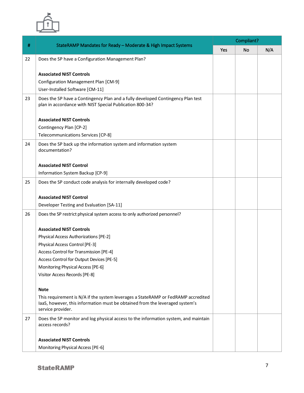

|    | StateRAMP Mandates for Ready - Moderate & High Impact Systems                                                                               | Compliant? |           |     |  |
|----|---------------------------------------------------------------------------------------------------------------------------------------------|------------|-----------|-----|--|
| #  |                                                                                                                                             | Yes        | <b>No</b> | N/A |  |
| 22 | Does the SP have a Configuration Management Plan?                                                                                           |            |           |     |  |
|    |                                                                                                                                             |            |           |     |  |
|    | <b>Associated NIST Controls</b>                                                                                                             |            |           |     |  |
|    | Configuration Management Plan [CM-9]                                                                                                        |            |           |     |  |
|    | User-Installed Software [CM-11]                                                                                                             |            |           |     |  |
| 23 | Does the SP have a Contingency Plan and a fully developed Contingency Plan test<br>plan in accordance with NIST Special Publication 800-34? |            |           |     |  |
|    |                                                                                                                                             |            |           |     |  |
|    | <b>Associated NIST Controls</b>                                                                                                             |            |           |     |  |
|    | Contingency Plan [CP-2]                                                                                                                     |            |           |     |  |
|    | Telecommunications Services [CP-8]                                                                                                          |            |           |     |  |
| 24 | Does the SP back up the information system and information system                                                                           |            |           |     |  |
|    | documentation?                                                                                                                              |            |           |     |  |
|    | <b>Associated NIST Control</b>                                                                                                              |            |           |     |  |
|    | Information System Backup [CP-9]                                                                                                            |            |           |     |  |
| 25 | Does the SP conduct code analysis for internally developed code?                                                                            |            |           |     |  |
|    |                                                                                                                                             |            |           |     |  |
|    | <b>Associated NIST Control</b>                                                                                                              |            |           |     |  |
|    | Developer Testing and Evaluation [SA-11]                                                                                                    |            |           |     |  |
| 26 | Does the SP restrict physical system access to only authorized personnel?                                                                   |            |           |     |  |
|    | <b>Associated NIST Controls</b>                                                                                                             |            |           |     |  |
|    | Physical Access Authorizations [PE-2]                                                                                                       |            |           |     |  |
|    | Physical Access Control [PE-3]                                                                                                              |            |           |     |  |
|    | Access Control for Transmission [PE-4]                                                                                                      |            |           |     |  |
|    | Access Control for Output Devices [PE-5]                                                                                                    |            |           |     |  |
|    | Monitoring Physical Access [PE-6]                                                                                                           |            |           |     |  |
|    | Visitor Access Records [PE-8]                                                                                                               |            |           |     |  |
|    | <b>Note</b>                                                                                                                                 |            |           |     |  |
|    | This requirement is N/A if the system leverages a StateRAMP or FedRAMP accredited                                                           |            |           |     |  |
|    | laaS, however, this information must be obtained from the leveraged system's<br>service provider.                                           |            |           |     |  |
| 27 | Does the SP monitor and log physical access to the information system, and maintain<br>access records?                                      |            |           |     |  |
|    |                                                                                                                                             |            |           |     |  |
|    | <b>Associated NIST Controls</b>                                                                                                             |            |           |     |  |
|    | Monitoring Physical Access [PE-6]                                                                                                           |            |           |     |  |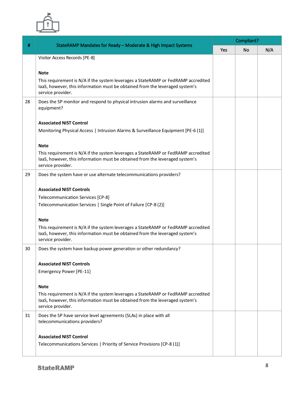

|    |                                                                                                                                                                                        | Compliant? |           |     |  |
|----|----------------------------------------------------------------------------------------------------------------------------------------------------------------------------------------|------------|-----------|-----|--|
| #  | StateRAMP Mandates for Ready - Moderate & High Impact Systems                                                                                                                          | Yes        | <b>No</b> | N/A |  |
|    | Visitor Access Records [PE-8]                                                                                                                                                          |            |           |     |  |
|    |                                                                                                                                                                                        |            |           |     |  |
|    | <b>Note</b>                                                                                                                                                                            |            |           |     |  |
|    | This requirement is N/A if the system leverages a StateRAMP or FedRAMP accredited<br>laaS, however, this information must be obtained from the leveraged system's<br>service provider. |            |           |     |  |
| 28 | Does the SP monitor and respond to physical intrusion alarms and surveillance<br>equipment?                                                                                            |            |           |     |  |
|    | <b>Associated NIST Control</b>                                                                                                                                                         |            |           |     |  |
|    | Monitoring Physical Access   Intrusion Alarms & Surveillance Equipment [PE-6 (1)]                                                                                                      |            |           |     |  |
|    |                                                                                                                                                                                        |            |           |     |  |
|    | <b>Note</b>                                                                                                                                                                            |            |           |     |  |
|    | This requirement is N/A if the system leverages a StateRAMP or FedRAMP accredited<br>laaS, however, this information must be obtained from the leveraged system's<br>service provider. |            |           |     |  |
| 29 | Does the system have or use alternate telecommunications providers?                                                                                                                    |            |           |     |  |
|    | <b>Associated NIST Controls</b>                                                                                                                                                        |            |           |     |  |
|    | Telecommunication Services [CP-8]                                                                                                                                                      |            |           |     |  |
|    | Telecommunication Services   Single Point of Failure [CP-8 (2)]                                                                                                                        |            |           |     |  |
|    | <b>Note</b>                                                                                                                                                                            |            |           |     |  |
|    | This requirement is N/A if the system leverages a StateRAMP or FedRAMP accredited<br>laaS, however, this information must be obtained from the leveraged system's<br>service provider. |            |           |     |  |
| 30 | Does the system have backup power generation or other redundancy?                                                                                                                      |            |           |     |  |
|    | <b>Associated NIST Controls</b>                                                                                                                                                        |            |           |     |  |
|    | Emergency Power [PE-11]                                                                                                                                                                |            |           |     |  |
|    | <b>Note</b>                                                                                                                                                                            |            |           |     |  |
|    | This requirement is N/A if the system leverages a StateRAMP or FedRAMP accredited<br>laaS, however, this information must be obtained from the leveraged system's<br>service provider. |            |           |     |  |
| 31 | Does the SP have service level agreements (SLAs) in place with all<br>telecommunications providers?                                                                                    |            |           |     |  |
|    | <b>Associated NIST Control</b>                                                                                                                                                         |            |           |     |  |
|    | Telecommunications Services   Priority of Service Provisions [CP-8 (1)]                                                                                                                |            |           |     |  |
|    |                                                                                                                                                                                        |            |           |     |  |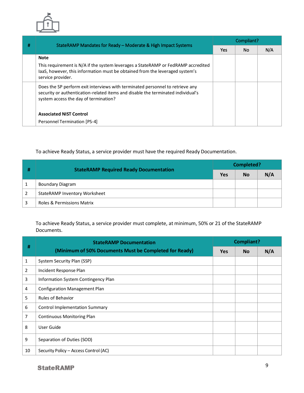

|   |                                                                                                                                                                                                            | Compliant? |           |     |  |
|---|------------------------------------------------------------------------------------------------------------------------------------------------------------------------------------------------------------|------------|-----------|-----|--|
| # | StateRAMP Mandates for Ready - Moderate & High Impact Systems                                                                                                                                              | Yes        | <b>No</b> | N/A |  |
|   | <b>Note</b>                                                                                                                                                                                                |            |           |     |  |
|   | This requirement is N/A if the system leverages a StateRAMP or FedRAMP accredited<br>laaS, however, this information must be obtained from the leveraged system's<br>service provider.                     |            |           |     |  |
|   | Does the SP perform exit interviews with terminated personnel to retrieve any<br>security or authentication-related items and disable the terminated individual's<br>system access the day of termination? |            |           |     |  |
|   | <b>Associated NIST Control</b>                                                                                                                                                                             |            |           |     |  |
|   | Personnel Termination [PS-4]                                                                                                                                                                               |            |           |     |  |

To achieve Ready Status, a service provider must have the required Ready Documentation.

|   | <b>StateRAMP Required Ready Documentation</b> | Completed? |           |     |  |
|---|-----------------------------------------------|------------|-----------|-----|--|
| # |                                               | <b>Yes</b> | <b>No</b> | N/A |  |
|   | Boundary Diagram                              |            |           |     |  |
|   | StateRAMP Inventory Worksheet                 |            |           |     |  |
|   | Roles & Permissions Matrix                    |            |           |     |  |

To achieve Ready Status, a service provider must complete, at minimum, 50% or 21 of the StateRAMP Documents.

|                | <b>StateRAMP Documentation</b><br>(Minimum of 50% Documents Must be Completed for Ready) | <b>Compliant?</b> |           |     |
|----------------|------------------------------------------------------------------------------------------|-------------------|-----------|-----|
| #              |                                                                                          | <b>Yes</b>        | <b>No</b> | N/A |
| 1              | System Security Plan (SSP)                                                               |                   |           |     |
| $\overline{2}$ | Incident Response Plan                                                                   |                   |           |     |
| 3              | Information System Contingency Plan                                                      |                   |           |     |
| 4              | <b>Configuration Management Plan</b>                                                     |                   |           |     |
| 5              | <b>Rules of Behavior</b>                                                                 |                   |           |     |
| 6              | <b>Control Implementation Summary</b>                                                    |                   |           |     |
| 7              | <b>Continuous Monitoring Plan</b>                                                        |                   |           |     |
| 8              | User Guide                                                                               |                   |           |     |
| 9              | Separation of Duties (SOD)                                                               |                   |           |     |
| 10             | Security Policy - Access Control (AC)                                                    |                   |           |     |

**StateRAMP**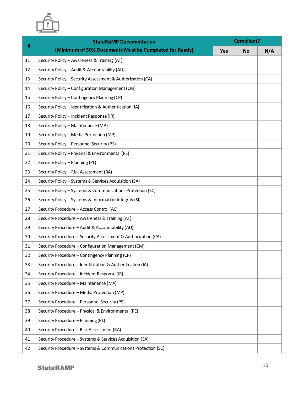

| #  | <b>StateRAMP Documentation</b>                                | Compliant? |           |     |  |
|----|---------------------------------------------------------------|------------|-----------|-----|--|
|    | (Minimum of 50% Documents Must be Completed for Ready)        | <b>Yes</b> | <b>No</b> | N/A |  |
| 11 | Security Policy - Awareness & Training (AT)                   |            |           |     |  |
| 12 | Security Policy - Audit & Accountability (AU)                 |            |           |     |  |
| 13 | Security Policy - Security Assessment & Authorization (CA)    |            |           |     |  |
| 14 | Security Policy - Configuration Management (CM)               |            |           |     |  |
| 15 | Security Policy - Contingency Planning (CP)                   |            |           |     |  |
| 16 | Security Policy - Identification & Authentication (IA)        |            |           |     |  |
| 17 | Security Policy - Incident Response (IR)                      |            |           |     |  |
| 18 | Security Policy - Maintenance (MA)                            |            |           |     |  |
| 19 | Security Policy - Media Protection (MP)                       |            |           |     |  |
| 20 | Security Policy - Personnel Security (PS)                     |            |           |     |  |
| 21 | Security Policy - Physical & Environmental (PE)               |            |           |     |  |
| 22 | Security Policy - Planning (PL)                               |            |           |     |  |
| 23 | Security Policy - Risk Assessment (RA)                        |            |           |     |  |
| 24 | Security Policy - Systems & Services Acquisition (SA)         |            |           |     |  |
| 25 | Security Policy - Systems & Communications Protection (SC)    |            |           |     |  |
| 26 | Security Policy - Systems & Information Integrity (SI)        |            |           |     |  |
| 27 | Security Procedure - Access Control (AC)                      |            |           |     |  |
| 28 | Security Procedure - Awareness & Training (AT)                |            |           |     |  |
| 29 | Security Procedure - Audit & Accountability (AU)              |            |           |     |  |
| 30 | Security Procedure - Security Assessment & Authorization (CA) |            |           |     |  |
| 31 | Security Procedure - Configuration Management (CM)            |            |           |     |  |
| 32 | Security Procedure - Contingency Planning (CP)                |            |           |     |  |
| 33 | Security Procedure - Identification & Authentication (IA)     |            |           |     |  |
| 34 | Security Procedure - Incident Response (IR)                   |            |           |     |  |
| 35 | Security Procedure - Maintenance (MA)                         |            |           |     |  |
| 36 | Security Procedure - Media Protection (MP)                    |            |           |     |  |
| 37 | Security Procedure - Personnel Security (PS)                  |            |           |     |  |
| 38 | Security Procedure - Physical & Environmental (PE)            |            |           |     |  |
| 39 | Security Procedure - Planning (PL)                            |            |           |     |  |
| 40 | Security Procedure - Risk Assessment (RA)                     |            |           |     |  |
| 41 | Security Procedure - Systems & Services Acquisition (SA)      |            |           |     |  |
| 42 | Security Procedure - Systems & Communications Protection (SC) |            |           |     |  |